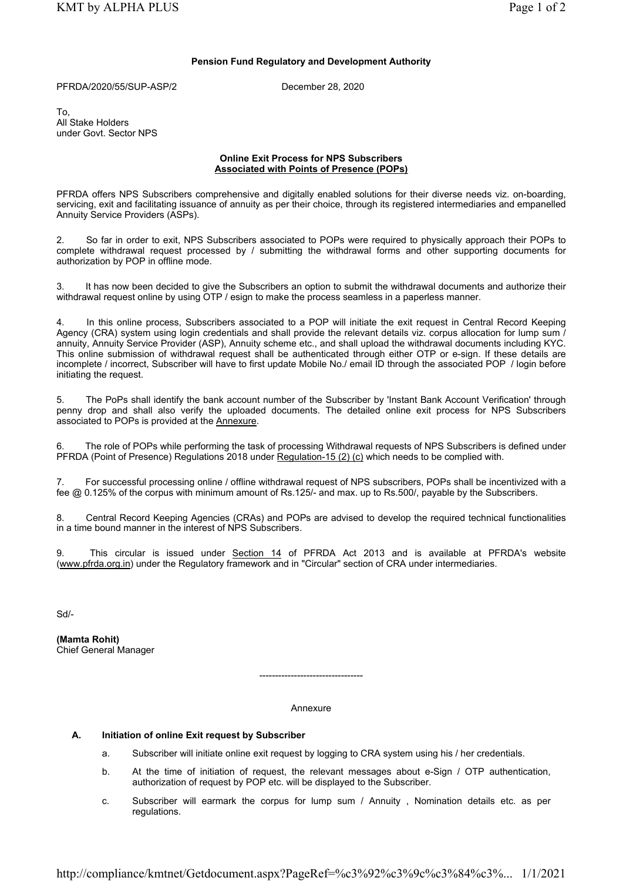## Pension Fund Regulatory and Development Authority

PFRDA/2020/55/SUP-ASP/2 December 28, 2020

To, All Stake Holders under Govt. Sector NPS

## Online Exit Process for NPS Subscribers Associated with Points of Presence (POPs)

PFRDA offers NPS Subscribers comprehensive and digitally enabled solutions for their diverse needs viz. on-boarding, servicing, exit and facilitating issuance of annuity as per their choice, through its registered intermediaries and empanelled Annuity Service Providers (ASPs).

2. So far in order to exit, NPS Subscribers associated to POPs were required to physically approach their POPs to complete withdrawal request processed by / submitting the withdrawal forms and other supporting documents for authorization by POP in offline mode.

3. It has now been decided to give the Subscribers an option to submit the withdrawal documents and authorize their withdrawal request online by using OTP / esign to make the process seamless in a paperless manner.

In this online process, Subscribers associated to a POP will initiate the exit request in Central Record Keeping Agency (CRA) system using login credentials and shall provide the relevant details viz. corpus allocation for lump sum / annuity, Annuity Service Provider (ASP), Annuity scheme etc., and shall upload the withdrawal documents including KYC. This online submission of withdrawal request shall be authenticated through either OTP or e-sign. If these details are incomplete / incorrect, Subscriber will have to first update Mobile No./ email ID through the associated POP / login before initiating the request.

5. The PoPs shall identify the bank account number of the Subscriber by 'Instant Bank Account Verification' through penny drop and shall also verify the uploaded documents. The detailed online exit process for NPS Subscribers associated to POPs is provided at the Annexure.

6. The role of POPs while performing the task of processing Withdrawal requests of NPS Subscribers is defined under PFRDA (Point of Presence) Regulations 2018 under Regulation-15 (2) (c) which needs to be complied with.

7. For successful processing online / offline withdrawal request of NPS subscribers, POPs shall be incentivized with a fee @ 0.125% of the corpus with minimum amount of Rs.125/- and max. up to Rs.500/, payable by the Subscribers.

8. Central Record Keeping Agencies (CRAs) and POPs are advised to develop the required technical functionalities in a time bound manner in the interest of NPS Subscribers.

9. This circular is issued under Section 14 of PFRDA Act 2013 and is available at PFRDA's website (www.pfrda.org.in) under the Regulatory framework and in "Circular" section of CRA under intermediaries.

Sd/-

(Mamta Rohit) Chief General Manager

#### Annexure

---------------------------------

# A. Initiation of online Exit request by Subscriber

- a. Subscriber will initiate online exit request by logging to CRA system using his / her credentials.
- b. At the time of initiation of request, the relevant messages about e-Sign / OTP authentication, authorization of request by POP etc. will be displayed to the Subscriber.
- c. Subscriber will earmark the corpus for lump sum / Annuity , Nomination details etc. as per regulations.